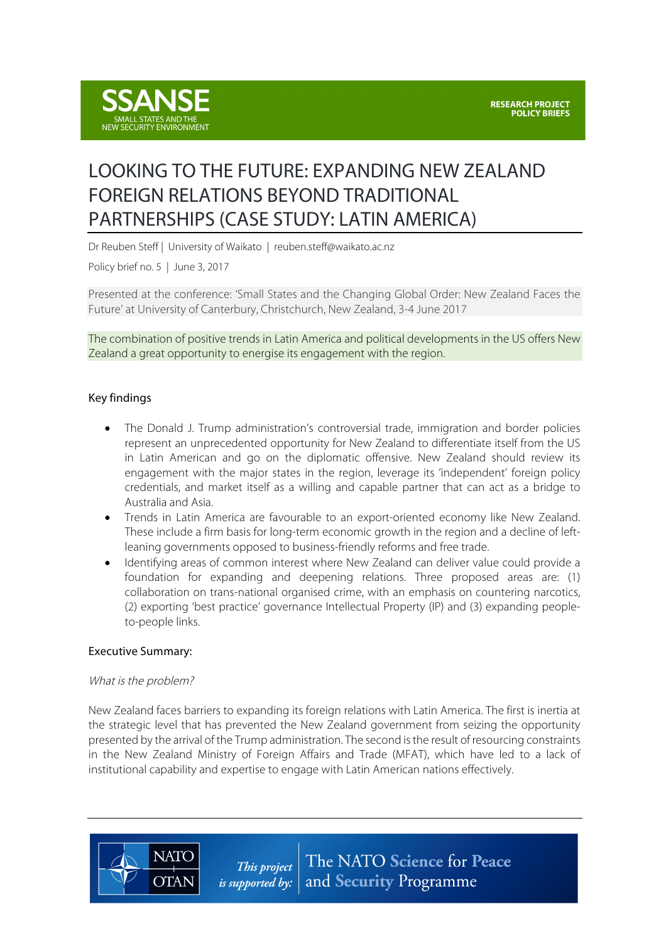

# LOOKING TO THE FUTURE: EXPANDING NEW ZEALAND FOREIGN RELATIONS BEYOND TRADITIONAL PARTNERSHIPS (CASE STUDY: LATIN AMERICA)

Dr Reuben Steff | University of Waikato | reuben.steff@waikato.ac.nz

Policy brief no. 5 | June 3, 2017

Presented at the conference: 'Small States and the Changing Global Order: New Zealand Faces the Future' at University of Canterbury, Christchurch, New Zealand, 3-4 June 2017

The combination of positive trends in Latin America and political developments in the US offers New Zealand a great opportunity to energise its engagement with the region.

## Key findings

- The Donald J. Trump administration's controversial trade, immigration and border policies represent an unprecedented opportunity for New Zealand to differentiate itself from the US in Latin American and go on the diplomatic offensive. New Zealand should review its engagement with the major states in the region, leverage its 'independent' foreign policy credentials, and market itself as a willing and capable partner that can act as a bridge to Australia and Asia.
- Trends in Latin America are favourable to an export-oriented economy like New Zealand. These include a firm basis for long-term economic growth in the region and a decline of leftleaning governments opposed to business-friendly reforms and free trade.
- Identifying areas of common interest where New Zealand can deliver value could provide a foundation for expanding and deepening relations. Three proposed areas are: (1) collaboration on trans-national organised crime, with an emphasis on countering narcotics, (2) exporting 'best practice' governance Intellectual Property (IP) and (3) expanding peopleto-people links.

## Executive Summary:

#### What is the problem?

**NATO** 

**OTAN** 

New Zealand faces barriers to expanding its foreign relations with Latin America. The first is inertia at the strategic level that has prevented the New Zealand government from seizing the opportunity presented by the arrival of the Trump administration. The second isthe result of resourcing constraints in the New Zealand Ministry of Foreign Affairs and Trade (MFAT), which have led to a lack of institutional capability and expertise to engage with Latin American nations effectively.

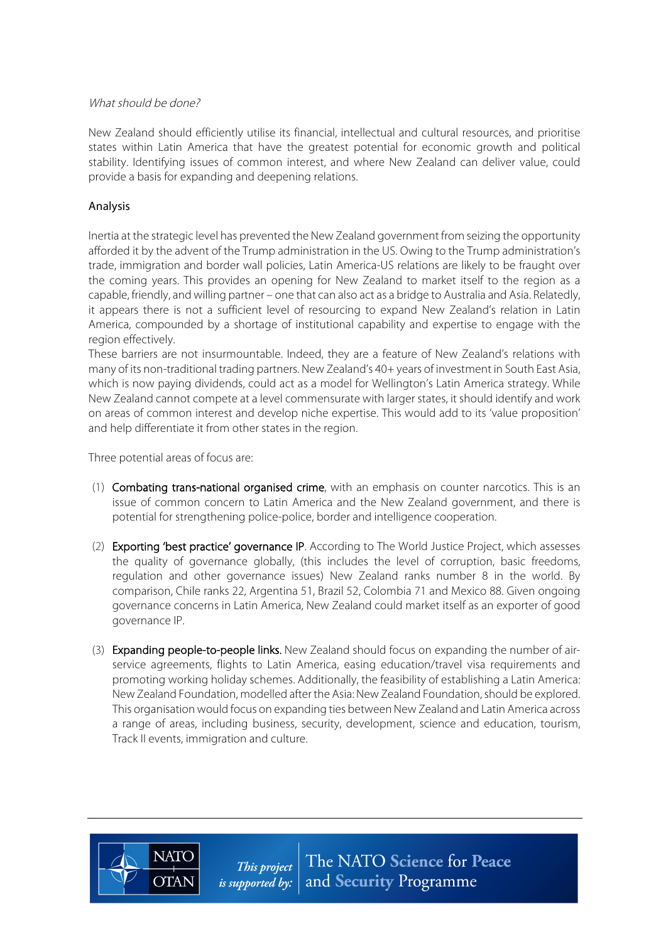## What should be done?

New Zealand should efficiently utilise its financial, intellectual and cultural resources, and prioritise states within Latin America that have the greatest potential for economic growth and political stability. Identifying issues of common interest, and where New Zealand can deliver value, could provide a basis for expanding and deepening relations.

## Analysis

Inertia at the strategic level has prevented the New Zealand government from seizing the opportunity afforded it by the advent of the Trump administration in the US. Owing to the Trump administration's trade, immigration and border wall policies, Latin America-US relations are likely to be fraught over the coming years. This provides an opening for New Zealand to market itself to the region as a capable, friendly, and willing partner – one that can also act as a bridge to Australia and Asia. Relatedly, it appears there is not a sufficient level of resourcing to expand New Zealand's relation in Latin America, compounded by a shortage of institutional capability and expertise to engage with the region effectively.

These barriers are not insurmountable. Indeed, they are a feature of New Zealand's relations with many of its non-traditional trading partners. New Zealand's 40+ years of investment in South East Asia, which is now paying dividends, could act as a model for Wellington's Latin America strategy. While New Zealand cannot compete at a level commensurate with larger states, it should identify and work on areas of common interest and develop niche expertise. This would add to its 'value proposition' and help differentiate it from other states in the region.

Three potential areas of focus are:

**NATO** 

**OTAN** 

- (1) Combating trans-national organised crime, with an emphasis on counter narcotics. This is an issue of common concern to Latin America and the New Zealand government, and there is potential for strengthening police-police, border and intelligence cooperation.
- (2) Exporting 'best practice' governance IP. According to The World Justice Project, which assesses the quality of governance globally, (this includes the level of corruption, basic freedoms, regulation and other governance issues) New Zealand ranks number 8 in the world. By comparison, Chile ranks 22, Argentina 51, Brazil 52, Colombia 71 and Mexico 88. Given ongoing governance concerns in Latin America, New Zealand could market itself as an exporter of good governance IP.
- (3) Expanding people-to-people links. New Zealand should focus on expanding the number of airservice agreements, flights to Latin America, easing education/travel visa requirements and promoting working holiday schemes. Additionally, the feasibility of establishing a Latin America: New Zealand Foundation, modelled after the Asia: New Zealand Foundation,should be explored. This organisation would focus on expanding ties between New Zealand and Latin America across a range of areas, including business, security, development, science and education, tourism, Track II events, immigration and culture.

The NATO Science for Peace This project *is supported by:*  $\vert$  and **Security** Programme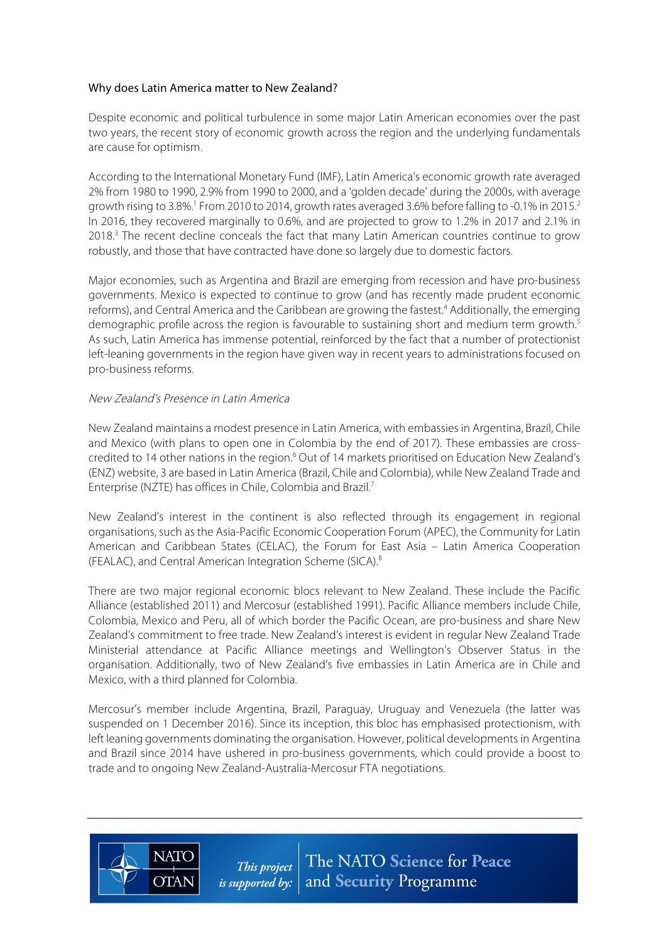## Why does Latin America matter to New Zealand?

Despite economic and political turbulence in some major Latin American economies over the past two years, the recent story of economic growth across the region and the underlying fundamentals are cause for optimism.

According to the International Monetary Fund (IMF), Latin America's economic growth rate averaged 2% from 1980 to 1990, 2.9% from 1990 to 2000, and a 'golden decade' during the 2000s, with average growth rising to 3.8%.<sup>1</sup> From 2010 to 2014, growth rates averaged 3.6% before falling to -0.1% in 2015.<sup>2</sup> In 2016, they recovered marginally to 0.6%, and are projected to grow to 1.2% in 2017 and 2.1% in  $2018<sup>3</sup>$  The recent decline conceals the fact that many Latin American countries continue to grow robustly, and those that have contracted have done so largely due to domestic factors.

Major economies, such as Argentina and Brazil are emerging from recession and have pro-business governments. Mexico is expected to continue to grow (and has recently made prudent economic reforms), and Central America and the Caribbean are growing the fastest.<sup>4</sup> Additionally, the emerging demographic profile across the region is favourable to sustaining short and medium term growth.<sup>5</sup> As such, Latin America has immense potential, reinforced by the fact that a number of protectionist left-leaning governments in the region have given way in recent years to administrations focused on pro-business reforms.

#### New Zealand's Presence in Latin America

**NATC** 

**OTAN** 

New Zealand maintains a modest presence in Latin America, with embassies in Argentina, Brazil, Chile and Mexico (with plans to open one in Colombia by the end of 2017). These embassies are crosscredited to 14 other nations in the region.<sup>6</sup> Out of 14 markets prioritised on Education New Zealand's (ENZ) website, 3 are based in Latin America (Brazil, Chile and Colombia), while New Zealand Trade and Enterprise (NZTE) has offices in Chile, Colombia and Brazil.7

New Zealand's interest in the continent is also reflected through its engagement in regional organisations, such as the Asia-Pacific Economic Cooperation Forum (APEC), the Community for Latin American and Caribbean States (CELAC), the Forum for East Asia – Latin America Cooperation (FEALAC), and Central American Integration Scheme (SICA).8

There are two major regional economic blocs relevant to New Zealand. These include the Pacific Alliance (established 2011) and Mercosur (established 1991). Pacific Alliance members include Chile, Colombia, Mexico and Peru, all of which border the Pacific Ocean, are pro-business and share New Zealand's commitment to free trade. New Zealand's interest is evident in regular New Zealand Trade Ministerial attendance at Pacific Alliance meetings and Wellington's Observer Status in the organisation. Additionally, two of New Zealand's five embassies in Latin America are in Chile and Mexico, with a third planned for Colombia.

Mercosur's member include Argentina, Brazil, Paraguay, Uruguay and Venezuela (the latter was suspended on 1 December 2016). Since its inception, this bloc has emphasised protectionism, with left leaning governments dominating the organisation. However, political developments in Argentina and Brazil since 2014 have ushered in pro-business governments, which could provide a boost to trade and to ongoing New Zealand-Australia-Mercosur FTA negotiations.